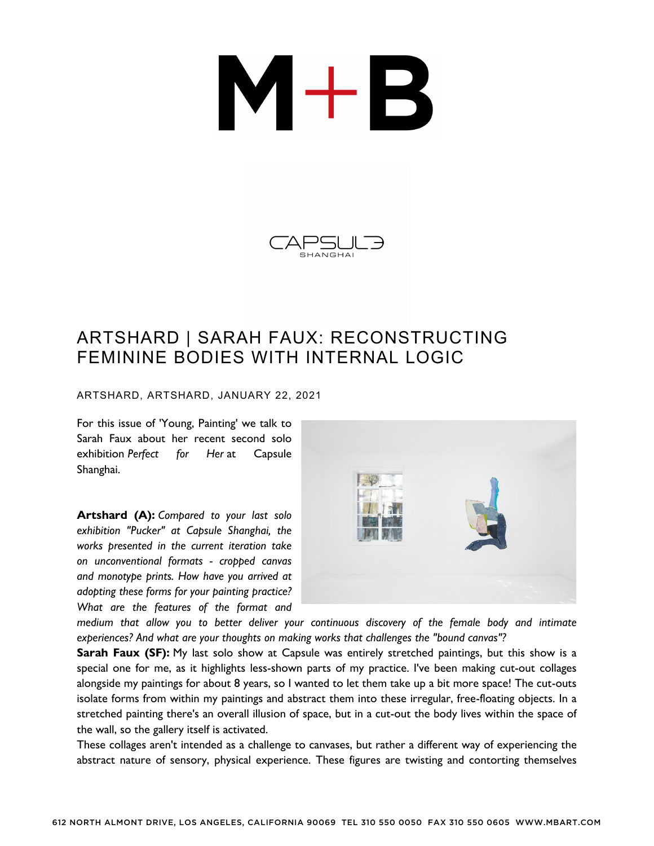## $M+B$



## ARTSHARD | SARAH FAUX: RECONSTRUCTING FEMININE BODIES WITH INTERNAL LOGIC

ARTSHARD, ARTSHARD, JANUARY 22, 2021

For this issue of 'Young, Painting' we talk to Sarah Faux about her recent second solo exhibition *Perfect for Her* at Capsule Shanghai.

**Artshard (A):** *Compared to your last solo exhibition "Pucker" at Capsule Shanghai, the works presented in the current iteration take on unconventional formats - cropped canvas and monotype prints. How have you arrived at adopting these forms for your painting practice? What are the features of the format and*



*medium that allow you to better deliver your continuous discovery of the female body and intimate experiences? And what are your thoughts on making works that challenges the "bound canvas"?*

**Sarah Faux (SF):** My last solo show at Capsule was entirely stretched paintings, but this show is a special one for me, as it highlights less-shown parts of my practice. I've been making cut-out collages alongside my paintings for about 8 years, so I wanted to let them take up a bit more space! The cut-outs isolate forms from within my paintings and abstract them into these irregular, free-floating objects. In a stretched painting there's an overall illusion of space, but in a cut-out the body lives within the space of the wall, so the gallery itself is activated.

These collages aren't intended as a challenge to canvases, but rather a different way of experiencing the abstract nature of sensory, physical experience. These figures are twisting and contorting themselves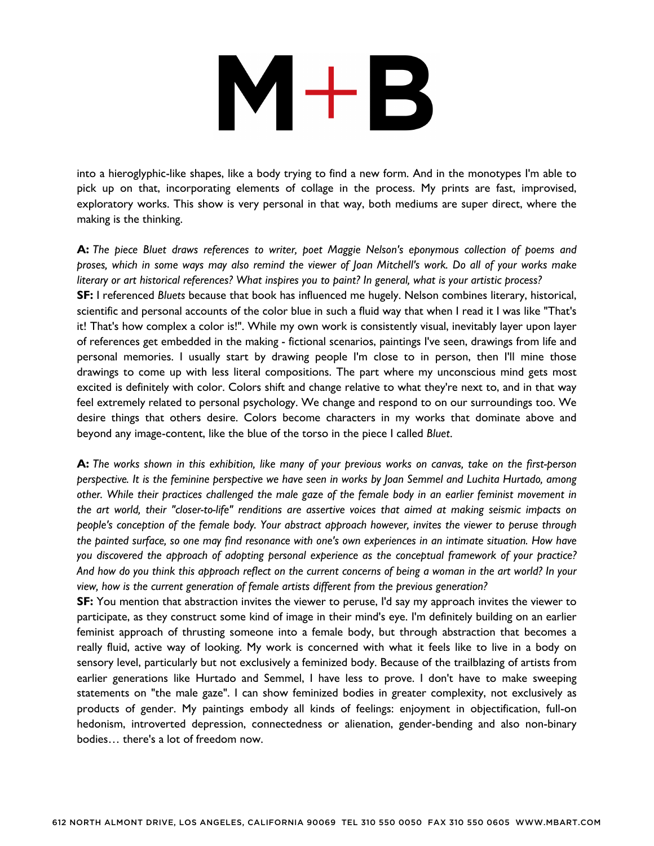## $M+B$

into a hieroglyphic-like shapes, like a body trying to find a new form. And in the monotypes I'm able to pick up on that, incorporating elements of collage in the process. My prints are fast, improvised, exploratory works. This show is very personal in that way, both mediums are super direct, where the making is the thinking.

**A:** *The piece Bluet draws references to writer, poet Maggie Nelson's eponymous collection of poems and* proses, which in some ways may also remind the viewer of Joan Mitchell's work. Do all of your works make literary or art historical references? What inspires you to paint? In general, what is your artistic process? **SF:** I referenced *Bluets* because that book has influenced me hugely. Nelson combines literary, historical, scientific and personal accounts of the color blue in such a fluid way that when I read it I was like "That's

it! That's how complex a color is!". While my own work is consistently visual, inevitably layer upon layer of references get embedded in the making - fictional scenarios, paintings I've seen, drawings from life and personal memories. I usually start by drawing people I'm close to in person, then I'll mine those drawings to come up with less literal compositions. The part where my unconscious mind gets most excited is definitely with color. Colors shift and change relative to what they're next to, and in that way feel extremely related to personal psychology. We change and respond to on our surroundings too. We desire things that others desire. Colors become characters in my works that dominate above and beyond any image-content, like the blue of the torso in the piece I called *Bluet*.

A: The works shown in this exhibition, like many of your previous works on canvas, take on the first-person perspective. It is the feminine perspective we have seen in works by Joan Semmel and Luchita Hurtado, among other. While their practices challenged the male gaze of the female body in an earlier feminist movement in *the art world, their "closer-to-life" renditions are assertive voices that aimed at making seismic impacts on people's conception of the female body. Your abstract approach however, invites the viewer to peruse through* the painted surface, so one may find resonance with one's own experiences in an intimate situation. How have *you discovered the approach of adopting personal experience as the conceptual framework of your practice?* And how do you think this approach reflect on the current concerns of being a woman in the art world? In your *view, how is the current generation of female artists different from the previous generation?*

**SF:** You mention that abstraction invites the viewer to peruse, I'd say my approach invites the viewer to participate, as they construct some kind of image in their mind's eye. I'm definitely building on an earlier feminist approach of thrusting someone into a female body, but through abstraction that becomes a really fluid, active way of looking. My work is concerned with what it feels like to live in a body on sensory level, particularly but not exclusively a feminized body. Because of the trailblazing of artists from earlier generations like Hurtado and Semmel, I have less to prove. I don't have to make sweeping statements on "the male gaze". I can show feminized bodies in greater complexity, not exclusively as products of gender. My paintings embody all kinds of feelings: enjoyment in objectification, full-on hedonism, introverted depression, connectedness or alienation, gender-bending and also non-binary bodies… there's a lot of freedom now.